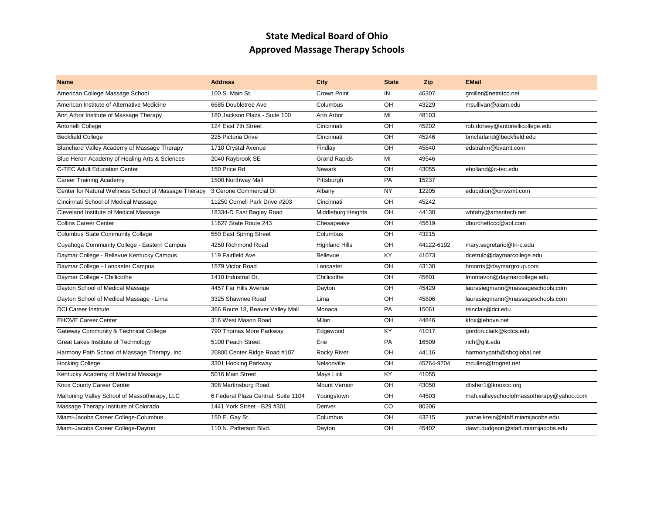## **State Medical Board of Ohio Approved Massage Therapy Schools**

| <b>Name</b>                                           | <b>Address</b>                      | <b>City</b>           | <b>State</b>     | Zip        | <b>EMail</b>                             |
|-------------------------------------------------------|-------------------------------------|-----------------------|------------------|------------|------------------------------------------|
| American College Massage School                       | 100 S. Main St.                     | Crown Point           | IN               | 46307      | gmiller@netnitco.net                     |
| American Institute of Alternative Medicine            | 6685 Doubletree Ave                 | Columbus              | OH               | 43229      | msullivan@aiam.edu                       |
| Ann Arbor Institute of Massage Therapy                | 180 Jackson Plaza - Suite 100       | Ann Arbor             | MI               | 48103      |                                          |
| Antonelli College                                     | 124 East 7th Street                 | Cincinnati            | OH               | 45202      | rob.dorsey@antonellicollege.edu          |
| <b>Beckfield College</b>                              | 225 Pictoria Drive                  | Cincinnati            | OH               | 45246      | bmcfarland@beckfield.edu                 |
| Blanchard Valley Academy of Massage Therapy           | 1710 Crystal Avenue                 | Findlay               | OH               | 45840      | edstrahm@bvamt.com                       |
| Blue Heron Academy of Healing Arts & Sciences         | 2040 Raybrook SE                    | <b>Grand Rapids</b>   | MI               | 49546      |                                          |
| <b>C-TEC Adult Education Center</b>                   | 150 Price Rd                        | Newark                | OH               | 43055      | eholland@c-tec.edu                       |
| <b>Career Training Academy</b>                        | 1500 Northway Mall                  | Pittsburgh            | <b>PA</b>        | 15237      |                                          |
| Center for Natural Wellness School of Massage Therapy | 3 Cerone Commercial Dr.             | Albany                | <b>NY</b>        | 12205      | education@cnwsmt.com                     |
| Cincinnati School of Medical Massage                  | 11250 Cornell Park Drive #203       | Cincinnati            | OH               | 45242      |                                          |
| Cleveland Institute of Medical Massage                | 18334-D East Bagley Road            | Middleburg Heights    | OH               | 44130      | wbtahy@ameritech.net                     |
| <b>Collins Career Center</b>                          | 11627 State Route 243               | Chesapeake            | OH               | 45619      | dburchettccc@aol.com                     |
| <b>Columbus State Community College</b>               | 550 East Spring Street              | Columbus              | OH               | 43215      |                                          |
| Cuyahoga Community College - Eastern Campus           | 4250 Richmond Road                  | <b>Highland Hills</b> | OH               | 44122-6192 | mary.segretario@tri-c.edu                |
| Daymar College - Bellevue Kentucky Campus             | 119 Fairfield Ave                   | Bellevue              | KY               | 41073      | dcetrulo@daymarcollege.edu               |
| Daymar College - Lancaster Campus                     | 1579 Victor Road                    | Lancaster             | OH               | 43130      | hmorris@daymargroup.com                  |
| Daymar College - Chillicothe                          | 1410 Industrial Dr.                 | Chillicothe           | OH               | 45601      | Imontavon@daymarcollege.edu              |
| Dayton School of Medical Massage                      | 4457 Far Hills Avenue               | Dayton                | OH               | 45429      | laurasiegmann@massageschools.com         |
| Dayton School of Medical Massage - Lima               | 3325 Shawnee Road                   | Lima                  | $\overline{O}$ H | 45806      | laurasiegmann@massageschools.com         |
| <b>DCI Career Institute</b>                           | 366 Route 18, Beaver Valley Mall    | Monaca                | PA               | 15061      | tsinclair@dci.edu                        |
| <b>EHOVE Career Center</b>                            | 316 West Mason Road                 | Milan                 | OH               | 44846      | kfox@ehove.net                           |
| Gateway Community & Technical College                 | 790 Thomas More Parkway             | Edgewood              | KY.              | 41017      | gordon.clark@kctcs.edu                   |
| Great Lakes Institute of Technology                   | 5100 Peach Street                   | Erie                  | <b>PA</b>        | 16509      | rich@qlit.edu                            |
| Harmony Path School of Massage Therapy, Inc.          | 20800 Center Ridge Road #107        | <b>Rocky River</b>    | OH               | 44116      | harmonypath@sbcglobal.net                |
| <b>Hocking College</b>                                | 3301 Hocking Parkway                | Nelsonville           | OH               | 45764-9704 | mcullen@frognet.net                      |
| Kentucky Academy of Medical Massage                   | 5016 Main Street                    | Mays Lick             | KY.              | 41055      |                                          |
| Knox County Career Center                             | 308 Martinsburg Road                | Mount Vernon          | OH               | 43050      | dfisher1@knoxcc.org                      |
| Mahoning Valley School of Massotherapy, LLC           | 6 Federal Plaza Central, Suite 1104 | Youngstown            | OH               | 44503      | mah.valleyschoolofmassotherapy@yahoo.com |
| Massage Therapy Institute of Colorado                 | 1441 York Street - B29 #301         | Denver                | CO               | 80206      |                                          |
| Miami-Jacobs Career College-Columbus                  | 150 E. Gay St.                      | Columbus              | OH               | 43215      | joanie.krein@staff.miamijacobs.edu       |
| Miami-Jacobs Career College-Dayton                    | 110 N. Patterson Blvd.              | Dayton                | OH               | 45402      | dawn.dudgeon@staff.miamijacobs.edu       |